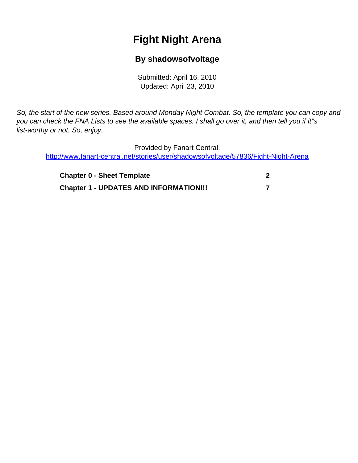# **Fight Night Arena**

# **By shadowsofvoltage**

Submitted: April 16, 2010 Updated: April 23, 2010

<span id="page-0-0"></span>So, the start of the new series. Based around Monday Night Combat. So, the template you can copy and you can check the FNA Lists to see the available spaces. I shall go over it, and then tell you if it''s list-worthy or not. So, enjoy.

Provided by Fanart Central. [http://www.fanart-central.net/stories/user/shadowsofvoltage/57836/Fight-Night-Arena](#page-0-0)

| <b>Chapter 0 - Sheet Template</b>             |  |
|-----------------------------------------------|--|
| <b>Chapter 1 - UPDATES AND INFORMATION!!!</b> |  |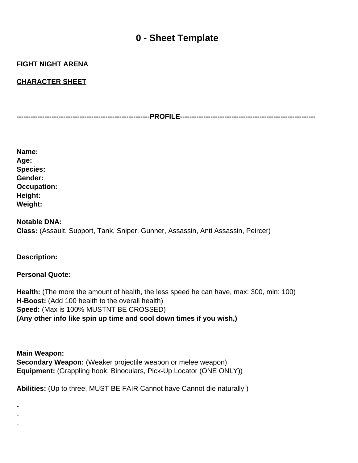# **0 - Sheet Template**

## <span id="page-1-0"></span>**FIGHT NIGHT ARENA**

### **CHARACTER SHEET**

**---------------------------------------------------------PROFILE----------------------------------------------------------**

| Name:              |
|--------------------|
| Age:               |
| <b>Species:</b>    |
| Gender:            |
| <b>Occupation:</b> |
| Height:            |
| <b>Weight:</b>     |

## **Notable DNA: Class:** (Assault, Support, Tank, Sniper, Gunner, Assassin, Anti Assassin, Peircer)

#### **Description:**

- - -

#### **Personal Quote:**

**Health:** (The more the amount of health, the less speed he can have, max: 300, min: 100) **H-Boost:** (Add 100 health to the overall health) **Speed:** (Max is 100% MUSTN T BE CROSSED) **(Any other info like spin up time and cool down times if you wish,)**

**Main Weapon: Secondary Weapon:** (Weaker projectile weapon or melee weapon) **Equipment:** (Grappling hook, Binoculars, Pick-Up Locator (ONE ONLY))

**Abilities:** (Up to three, MUST BE FAIR Cannot have Cannot die naturally )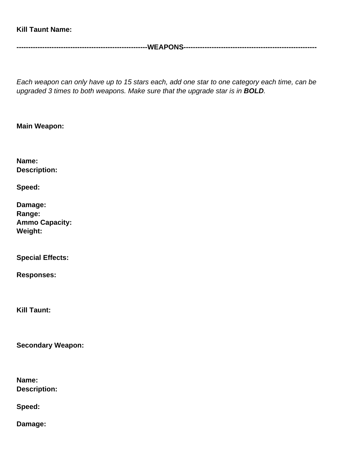### **Kill Taunt Name:**

**--------------------------------------------------------WEAPONS---------------------------------------------------------**

Each weapon can only have up to 15 stars each, add one star to one category each time, can be upgraded 3 times to both weapons. Make sure that the upgrade star is in **BOLD**.

### **Main Weapon:**

**Name: Description:**

**Speed:**

| Damage:               |
|-----------------------|
| Range:                |
| <b>Ammo Capacity:</b> |
| <b>Weight:</b>        |

**Special Effects:**

**Responses:**

**Kill Taunt:**

**Secondary Weapon:**

**Name: Description:**

**Speed:**

**Damage:**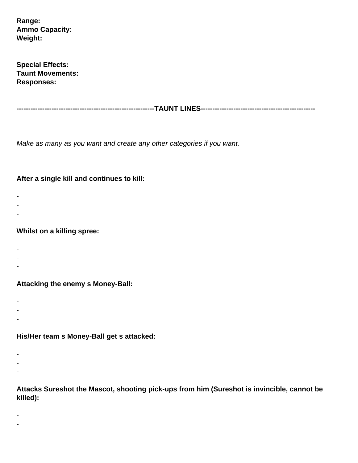**Range: Ammo Capacity: Weight:**

**Special Effects: Taunt Movements: Responses:**

**-----------------------------------------------------------TAUNT LINES-------------------------------------------------**

Make as many as you want and create any other categories if you want.

### **After a single kill and continues to kill:**

- -
- -
- -

#### **Whilst on a killing spree:**

- -
- -
- -

### **Attacking the enemy s Money-Ball:**

- -
- -
- -

## **His/Her team s Money-Ball get s attacked:**

- -
- -
- -

**Attacks Sureshot the Mascot, shooting pick-ups from him (Sureshot is invincible, cannot be killed):**

- -
-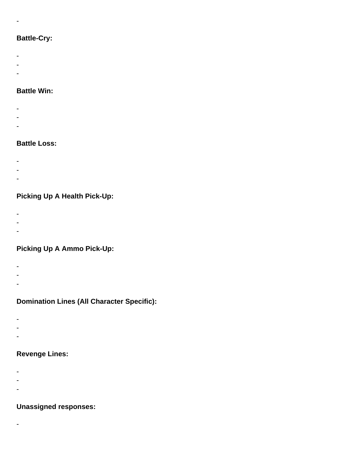## **Battle-Cry:**

-

- -
- -
- -
- 

# **Battle Win:**

- -
- -
- -

## **Battle Loss:**

- -
- -
- -

# **Picking Up A Health Pick-Up:**

- 
- -
- -
- 

# **Picking Up A Ammo Pick-Up:**

- -
- -
- -

## **Domination Lines (All Character Specific):**

- 
- -
- -

## **Revenge Lines:**

- -
- -
- -

## **Unassigned responses:**

- -
	-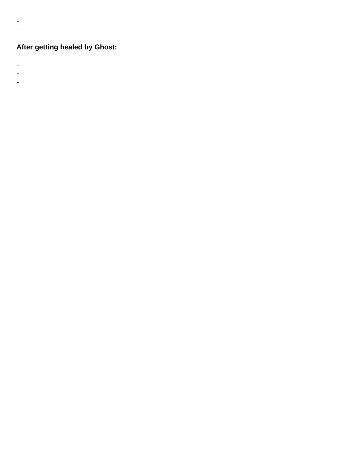# **After getting healed by Ghost:**

-

- -

- -
- -